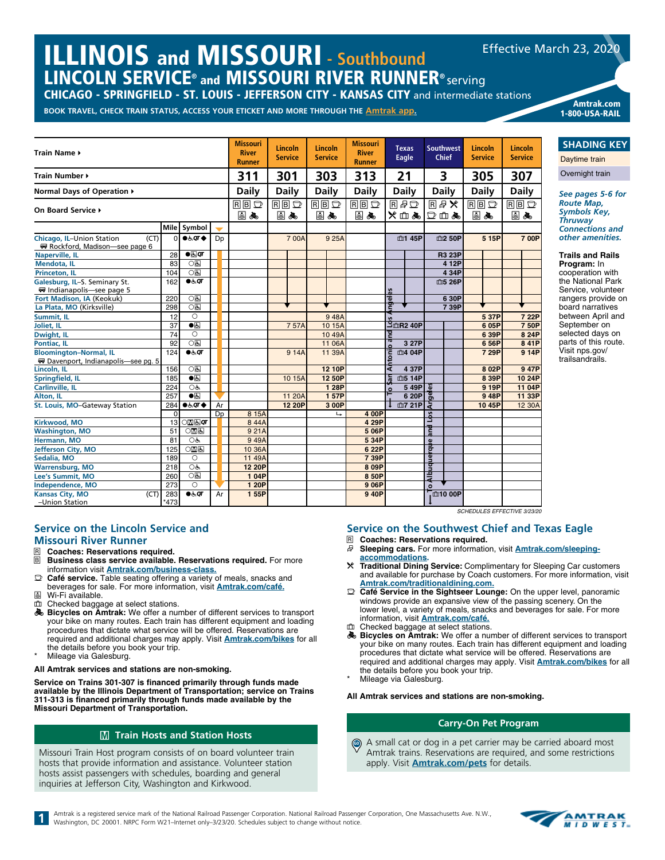## ILLINOIS and MISSOURI **- Southbound** LINCOLN SERVICE® and MISSOURI RIVER RUNNER® serving Effective March 23, 2020

CHICAGO - SPRINGFIELD - ST. LOUIS - JEFFERSON CITY - KANSAS CITY and intermediate stations

**BOOK TRAVEL, CHECK TRAIN STATUS, ACCESS YOUR ETICKET AND MORE THROUGH THE [Amtrak app](https://www.amtrak.com/mobile).** Amtrak.com



Overnight train *See pages 5-6 for Route Map, Symbols Key,* 

1-800-USA-RAIL

**SHADING KEY** Daytime train

*Thruway Connections and other amenities.*

**Trails and Rails** 

**Program:** In cooperation with the National Park Service, volunteer rangers provide on board narratives between April and September on selected days on parts of this route. Visit nps.gov/ trailsandrails.

#### **Service on the Lincoln Service and Missouri River Runner**

- **R** Coaches: Reservations required.<br>**R** Business class service available.
- **Business class service available. Reservations required.** For more information visit **[Amtrak.com/business-class](https://www.amtrak.com/business-class?cmp=pdsrch-Amtrak%7CBrand%7CNational%7CExact-google&&gclid=Cj0KCQjw5rbsBRCFARIsAGEYRwceBpOzyfBaDssQE13eLbHxW5STB4HYDBQ_L61Jvmij9USUQssczpkaAvFpEALw_wcB).**
- y **Café service.** Table seating offering a variety of meals, snacks and beverages for sale. For more information, visit **[Amtrak.com/café](https://www.amtrak.com/onboard/meals-dining/cafe-car.html).**
- Wi-Fi available. Checked baggage at select stations.
- **Bicycles on Amtrak:** We offer a number of different services to transport your bike on many routes. Each train has different equipment and loading procedures that dictate what service will be offered. Reservations are required and additional charges may apply. Visit **[Amtrak.com/bikes](https://www.amtrak.com/bring-your-bicycle-onboard)** for all the details before you book your trip.
- Mileage via Galesburg.

#### **All Amtrak services and stations are non-smoking.**

**Service on Trains 301-307 is financed primarily through funds made available by the Illinois Department of Transportation; service on Trains 311-313 is financed primarily through funds made available by the Missouri Department of Transportation.**

### **M** Train Hosts and Station Hosts

Missouri Train Host program consists of on board volunteer train hosts that provide information and assistance. Volunteer station hosts assist passengers with schedules, boarding and general inquiries at Jefferson City, Washington and Kirkwood.

*SCHEDULES EFFECTIVE 3/23/20*

#### **Service on the Southwest Chief and Texas Eagle**

- R **Coaches: Reservations required.**
- s **Sleeping cars.** For more information, visit **[Amtrak.com/sleeping](https://www.amtrak.com/onboard-the-train-sleeping-accommodations)[accommodations](https://www.amtrak.com/onboard-the-train-sleeping-accommodations).**
- r **Traditional Dining Service:** Complimentary for Sleeping Car customers and available for purchase by Coach customers. For more information, visit **[Amtrak.com/traditionaldining.com](https://www.amtrak.com/onboard/meals-dining/dining-car.html).**
- y **Café Service in the Sightseer Lounge:** On the upper level, panoramic windows provide an expansive view of the passing scenery. On the lower level, a variety of meals, snacks and beverages for sale. For more information, visit **[Amtrak.com/café.](https://www.amtrak.com/onboard/meals-dining/cafe-car.html)**
- m Checked baggage at select stations.
- **Bicycles on Amtrak:** We offer a number of different services to transport your bike on many routes. Each train has different equipment and loading procedures that dictate what service will be offered. Reservations are required and additional charges may apply. Visit **[Amtrak.com/bikes](https://www.amtrak.com/bring-your-bicycle-onboard)** for all the details before you book your trip.
- Mileage via Galesburg.

#### **All Amtrak services and stations are non-smoking.**

#### **Carry-On Pet Program**

A small cat or dog in a pet carrier may be carried aboard most Amtrak trains. Reservations are required, and some restrictions apply. Visit **[Amtrak.com/pets](https://www.amtrak.com/pets)** for details. GO

Amtrak is a registered service mark of the National Railroad Passenger Corporation. National Railroad Passenger Corporation, One Massachusetts Ave. N.W., Washington, DC 20001. NRPC Form W21-Internet only-3/23/20. Schedules

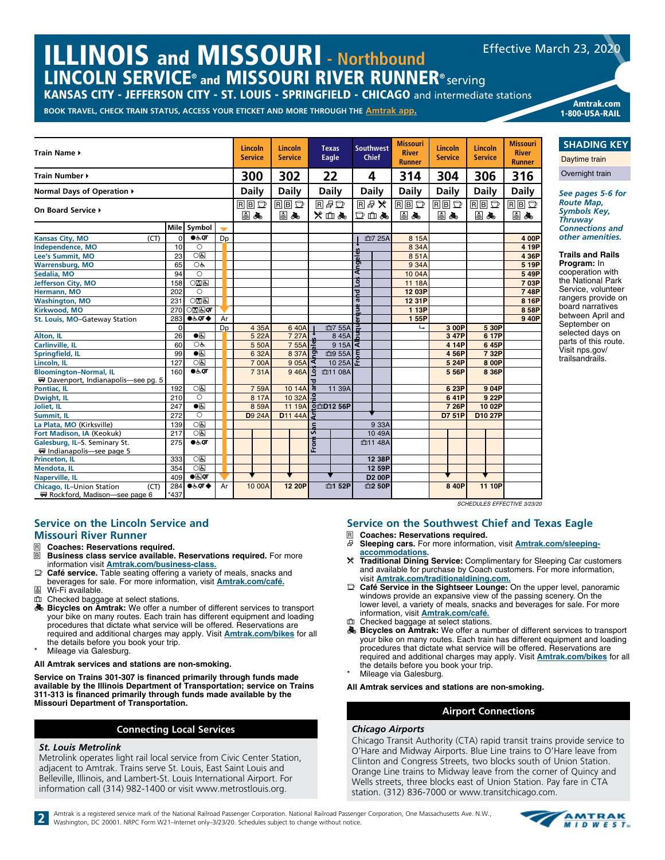## **ILLINOIS and MISSOURI - Northbound** LINCOLN SERVICE® and MISSOURI RIVER RUNNER® serving Effective March 23, 2020

KANSAS CITY - JEFFERSON CITY - ST. LOUIS - SPRINGFIELD - CHICAGO and intermediate stations

**BOOK TRAVEL, CHECK TRAIN STATUS, ACCESS YOUR ETICKET AND MORE THROUGH THE [Amtrak app](https://www.amtrak.com/mobile).** Amtrak.com



**SHADING KEY**

1-800-USA-RAIL

Daytime train Overnight train

*See pages 5-6 for Route Map, Symbols Key, Thruway Connections and other amenities.*

**Trails and Rails** 

**Program:** In cooperation with the National Park Service, volunteer rangers provide on board narratives between April and September on selected days on parts of this route. Visit nps.gov/ trailsandrails.

#### **Service on the Lincoln Service and Missouri River Runner**

# **R** Coaches: Reservations required.<br>**R** Business class service available.

- **Business class service available. Reservations required.** For more information visit **[Amtrak.com/business-class](https://www.amtrak.com/business-class?cmp=pdsrch-Amtrak%7CBrand%7CNational%7CExact-google&&gclid=Cj0KCQjw5rbsBRCFARIsAGEYRwceBpOzyfBaDssQE13eLbHxW5STB4HYDBQ_L61Jvmij9USUQssczpkaAvFpEALw_wcB).**
- y **Café service.** Table seating offering a variety of meals, snacks and beverages for sale. For more information, visit **[Amtrak.com/café](https://www.amtrak.com/onboard/meals-dining/cafe-car.html).**
- å Wi-Fi available.
- Checked baggage at select stations.
- **Bicycles on Amtrak:** We offer a number of different services to transport your bike on many routes. Each train has different equipment and loading procedures that dictate what service will be offered. Reservations are required and additional charges may apply. Visit **[Amtrak.com/bikes](https://www.amtrak.com/bring-your-bicycle-onboard)** for all the details before you book your trip.
- Mileage via Galesburg.

**All Amtrak services and stations are non-smoking.**

**Service on Trains 301-307 is financed primarily through funds made available by the Illinois Department of Transportation; service on Trains 311-313 is financed primarily through funds made available by the Missouri Department of Transportation.**

#### **Connecting Local Services**

#### *St. Louis Metrolink*

Metrolink operates light rail local service from Civic Center Station, adjacent to Amtrak. Trains serve St. Louis, East Saint Louis and Belleville, Illinois, and Lambert-St. Louis International Airport. For information call (314) 982-1400 or visit www.metrostlouis.org.

#### **Service on the Southwest Chief and Texas Eagle**

- **R Coaches: Reservations required.**<br>**R** Sleeping cars For more information s **Sleeping cars.** For more information, visit **[Amtrak.com/sleeping](https://www.amtrak.com/onboard-the-train-sleeping-accommodations
)[accommodations](https://www.amtrak.com/onboard-the-train-sleeping-accommodations
).**
- r **Traditional Dining Service:** Complimentary for Sleeping Car customers and available for purchase by Coach customers. For more information, visit **[Amtrak.com/traditionaldining.com](https://www.amtrak.com/onboard/meals-dining/dining-car.html).**
- Café Service in the Sightseer Lounge: On the upper level, panoramic windows provide an expansive view of the passing scenery. On the lower level, a variety of meals, snacks and beverages for sale. For more information, visit **[Amtrak.com/café.](https://www.amtrak.com/onboard/meals-dining/cafe-car.html)**
- 血 Checked baggage at select stations.<br>图 Bicycles on Amtrak: We offer a nu
- Bicycles on Amtrak: We offer a number of different services to transport your bike on many routes. Each train has different equipment and loading procedures that dictate what service will be offered. Reservations are required and additional charges may apply. Visit **[Amtrak.com/bikes](https://www.amtrak.com/bring-your-bicycle-onboard)** for all the details before you book your trip.
- Mileage via Galesburg.

**All Amtrak services and stations are non-smoking.**

#### **Airport Connections**

#### *Chicago Airports*

Chicago Transit Authority (CTA) rapid transit trains provide service to O'Hare and Midway Airports. Blue Line trains to O'Hare leave from Clinton and Congress Streets, two blocks south of Union Station. Orange Line trains to Midway leave from the corner of Quincy and Wells streets, three blocks east of Union Station. Pay fare in CTA station. (312) 836-7000 or www.transitchicago.com.

2 Amtrak is a registered service mark of the National Railroad Passenger Corporation. National Railroad Passenger Corporation, One Massachusetts Ave. N.W., Weshington, DC 20001. NRPC Form W21-Internet only-3/23/20. Schedul

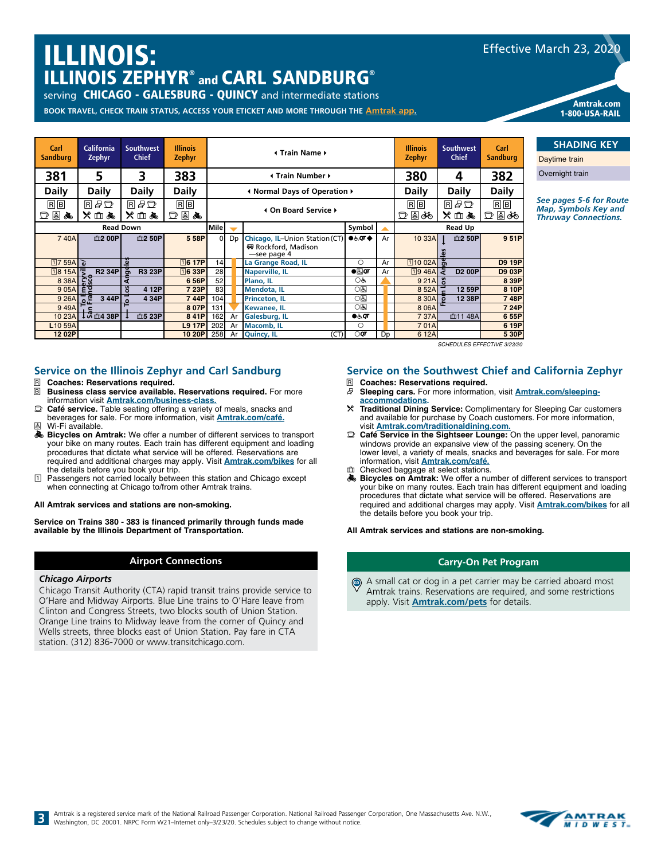# ILLINOIS: ILLINOIS ZEPHYR® and CARL SANDBURG®

serving **CHICAGO - GALESBURG - QUINCY** and intermediate stations

**BOOK TRAVEL, CHECK TRAIN STATUS, ACCESS YOUR ETICKET AND MORE THROUGH THE [Amtrak app](https://www.amtrak.com/mobile).**

| Carl<br><b>Sandburg</b>             | California<br>Zephyr          | <b>Southwest</b><br><b>Chief</b> | <b>Illinois</b><br><b>Zephyr</b> |                 |                         | <b>∢ Train Name ▶</b>                                               | <b>Illinois</b><br><b>Zephyr</b> | <b>Southwest</b><br><b>Chief</b> | Carl<br><b>Sandburg</b> | D.            |               |         |
|-------------------------------------|-------------------------------|----------------------------------|----------------------------------|-----------------|-------------------------|---------------------------------------------------------------------|----------------------------------|----------------------------------|-------------------------|---------------|---------------|---------|
| 381                                 | 5                             | 3                                | 383                              |                 | <b>I</b> Train Number ▶ |                                                                     |                                  |                                  |                         | 4             | 382           | $\circ$ |
| <b>Daily</b>                        | <b>Daily</b>                  | <b>Daily</b>                     | <b>Daily</b>                     |                 |                         | In Normal Days of Operation ♦                                       |                                  |                                  | <b>Daily</b>            | <b>Daily</b>  | <b>Daily</b>  |         |
| $R$ $B$<br>国品<br>D                  | 同日口<br>※血ぬ                    | 同日口<br>※血え                       | $R$ $B$<br>口目丸                   |                 |                         | 4 On Board Service ▶                                                | $R$ $B$<br>口目ぬ                   | 日日口<br>※血ぬ                       | $R$ $B$<br>口目ぬ          | Se<br>M<br>Th |               |         |
|                                     |                               | <b>Read Down</b>                 |                                  | <b>Mile</b>     | Symbol                  |                                                                     |                                  | <b>Read Up</b>                   |                         |               |               |         |
| 740A                                | 血2 00P                        | 血2 50P                           | 5 58P                            | $\Omega$        | D <sub>D</sub>          | Chicago, IL-Union Station (CT)<br>₩ Rockford, Madison<br>see page 4 | $\bullet$ & $\sigma\bullet$      | Ar                               | 10 33A                  | 血2 50P        | 9 51P         |         |
| 1759A                               |                               | $\omega$                         | $\overline{16}$ 17P              | 14 <sub>l</sub> |                         | La Grange Road, IL                                                  | $\bigcirc$                       | Ar                               | <b>110 02A</b> 岛        |               | <b>D9 19P</b> |         |
| 1815A                               | <b>R2 34P</b>                 | <b>R3 23P</b><br>Ō               | <b>16 33P</b>                    | 28              |                         | <b>Naperville, IL</b>                                               | $\bullet$                        | Ar                               | 1946AZ                  | <b>D2 00P</b> | D9 03P        |         |
| 8 38A                               | <u>중중</u>                     |                                  | 6 56P                            | 52              |                         | Plano, IL                                                           | OĠ                               |                                  | 9 21A                   |               | 8 39P         |         |
| 905A                                | ξā                            | $\mathbf{u}$<br>4 12P            | 7 23P                            | 83              |                         | <b>Mendota, IL</b>                                                  | O(5)                             |                                  | 8 52A                   | 12 59P        | 8 10P         |         |
| 9 26A $\frac{1}{6}$ $\frac{10}{10}$ | 344P                          | 4 34P                            | 744P                             | 104             |                         | <b>Princeton, IL</b>                                                | <b>이의</b>                        |                                  | 8 30A                   | 12 38P        | 748P          |         |
| 949A                                |                               |                                  | 8 07P                            | 131             |                         | <b>Kewanee, IL</b>                                                  | O(5)                             |                                  | 8 0 6 A                 |               | 7 24P         |         |
| 10 23A                              | $\frac{1}{3}$ $\frac{38P}{2}$ | 血5 23P                           | 8 41P                            | 162             | Ar                      | Galesburg, IL                                                       | $\bullet$ க்ர                    |                                  | 7 37A                   | 血11 48A       | 6 55P         |         |
| L <sub>10</sub> 59A                 |                               |                                  | <b>L9 17P</b>                    | 202             | Ar                      | <b>Macomb, IL</b>                                                   | $\circ$                          |                                  | 701A                    |               | 6 19P         |         |
| 12 02P                              |                               |                                  | 10 20P                           | 258             | Ar                      | (CT)<br><b>Quincy, IL</b>                                           | $\bigcirc$ qr                    | Dp                               | 6 12A                   |               | 5 30P         |         |

*SCHEDULES EFFECTIVE 3/23/20*

#### **Service on the Illinois Zephyr and Carl Sandburg**

- R **Coaches: Reservations required.**
- **Business class service available. Reservations required.** For more information visit **[Amtrak.com/business-class](https://www.amtrak.com/business-class?cmp=pdsrch-Amtrak%7CBrand%7CNational%7CExact-google&&gclid=Cj0KCQjw5rbsBRCFARIsAGEYRwceBpOzyfBaDssQE13eLbHxW5STB4HYDBQ_L61Jvmij9USUQssczpkaAvFpEALw_wcB).**
- $\mathbb{D}$  **Café service.** Table seating offering a variety of meals, snacks and beverages for sale. For more information, visit **[Amtrak.com/café](https://www.amtrak.com/onboard/meals-dining/cafe-car.html).**
- å Wi-Fi available.
- **& Bicycles on Amtrak:** We offer a number of different services to transport your bike on many routes. Each train has different equipment and loading procedures that dictate what service will be offered. Reservations are required and additional charges may apply. Visit **[Amtrak.com/bikes](https://www.amtrak.com/bring-your-bicycle-onboard)** for all the details before you book your trip.
- Passengers not carried locally between this station and Chicago except when connecting at Chicago to/from other Amtrak trains.

#### **All Amtrak services and stations are non-smoking.**

**Service on Trains 380 - 383 is financed primarily through funds made available by the Illinois Department of Transportation.**

#### **Airport Connections**

#### *Chicago Airports*

Chicago Transit Authority (CTA) rapid transit trains provide service to O'Hare and Midway Airports. Blue Line trains to O'Hare leave from Clinton and Congress Streets, two blocks south of Union Station. Orange Line trains to Midway leave from the corner of Quincy and Wells streets, three blocks east of Union Station. Pay fare in CTA station. (312) 836-7000 or www.transitchicago.com.

#### **Service on the Southwest Chief and California Zephyr**

- R **Coaches: Reservations required.**
- Sleeping cars. For more information, visit **[Amtrak.com/sleeping](https://www.amtrak.com/onboard-the-train-sleeping-accommodations)[accommodations](https://www.amtrak.com/onboard-the-train-sleeping-accommodations).**
- r **Traditional Dining Service:** Complimentary for Sleeping Car customers and available for purchase by Coach customers. For more information, visit **[Amtrak.com/traditionaldining.com](https://www.amtrak.com/onboard/meals-dining/dining-car.html).**
- Café Service in the Sightseer Lounge: On the upper level, panoramic windows provide an expansive view of the passing scenery. On the lower level, a variety of meals, snacks and beverages for sale. For more information, visit **[Amtrak.com/café.](https://www.amtrak.com/onboard/meals-dining/cafe-car.html)**
- Checked baggage at select stations. **Bicycles on Amtrak:** We offer a number of different services to transport your bike on many routes. Each train has different equipment and loading procedures that dictate what service will be offered. Reservations are required and additional charges may apply. Visit **[Amtrak.com/bikes](https://www.amtrak.com/bring-your-bicycle-onboard)** for all

**All Amtrak services and stations are non-smoking.**

the details before you book your trip.

#### **Carry-On Pet Program**

A small cat or dog in a pet carrier may be carried aboard most Amtrak trains. Reservations are required, and some restrictions apply. Visit **[Amtrak.com/pets](https://www.amtrak.com/pets)** for details. GO





# **SHADING KEY**

Amtrak.com 1-800-USA-RAIL

avtime train

vernight train

**e** pages 5-6 for Route *Map, Symbols Key and Thruway Connections.*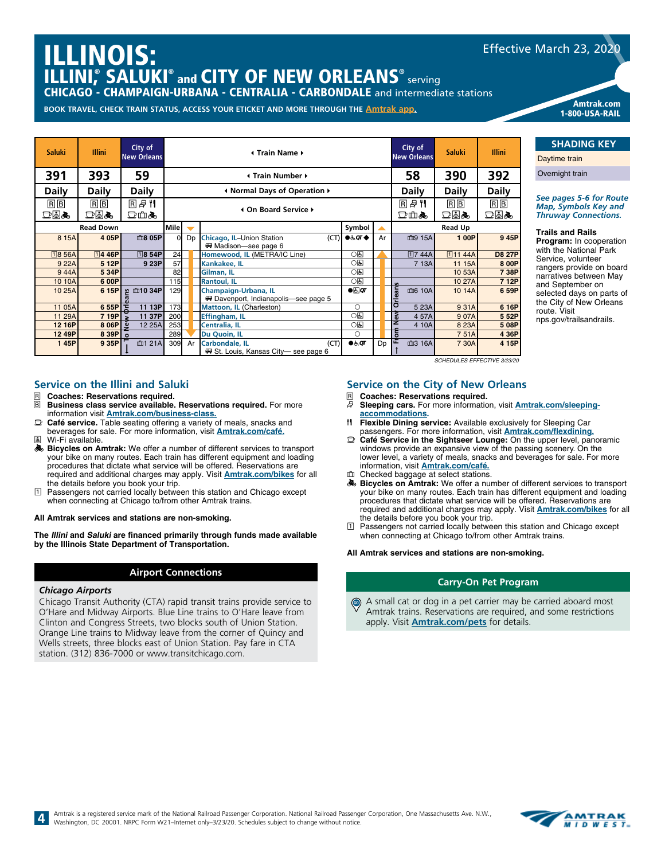# ILLINOIS: ILLINI,<sup>®</sup> SALUKI® and CITY OF NEW ORLEANS® serving

CHICAGO - CHAMPAIGN-URBANA - CENTRALIA - CARBONDALE and intermediate stations

**BOOK TRAVEL, CHECK TRAIN STATUS, ACCESS YOUR ETICKET AND MORE THROUGH THE [Amtrak app](https://www.amtrak.com/mobile).**

| <b>Saluki</b>  | <b>Illini</b>    | City of<br><b>New Orleans</b> |          | City of<br><b>Illini</b><br><b>Saluki</b><br>4 Train Name ▶<br><b>New Orleans</b> |                                                                |                                         |                   |                       |              |               |  |  |  |  |  |
|----------------|------------------|-------------------------------|----------|-----------------------------------------------------------------------------------|----------------------------------------------------------------|-----------------------------------------|-------------------|-----------------------|--------------|---------------|--|--|--|--|--|
| 391            | 393              | 59                            |          | 58<br>390<br>Internation Number +                                                 |                                                                |                                         |                   |                       |              |               |  |  |  |  |  |
| <b>Daily</b>   | <b>Daily</b>     | <b>Daily</b>                  |          |                                                                                   | I Normal Days of Operation ▶                                   |                                         |                   | <b>Daily</b>          | <b>Daily</b> | <b>Daily</b>  |  |  |  |  |  |
| $B$ $B$<br>dea | $R$ $B$<br>dea   | <b>R</b> 2 1<br>□血氣           |          |                                                                                   | 4 On Board Service ▶                                           | 同日門<br>□血氣                              | $R \mid B$<br>dea | $R$ $B$<br><b>dea</b> |              |               |  |  |  |  |  |
|                | <b>Read Down</b> |                               | Mile     |                                                                                   |                                                                | <b>Read Up</b>                          |                   |                       |              |               |  |  |  |  |  |
| 8 15A          | 4 05P            | 血8 05P                        | $\Omega$ | D <sub>D</sub>                                                                    | Chicago, IL-Union Station<br>(CT)<br>₩ Madison-see page 6      | $\bullet \in \mathsf{QT} \blacklozenge$ | Ar                | 血9 15A                | 1 00P        | 9 45P         |  |  |  |  |  |
| <b>18 56A</b>  | $\sqrt{1446}$ P  | $\sqrt{18}$ 54P               | 24       |                                                                                   | Homewood, IL (METRA/IC Line)                                   | O(5)                                    |                   | $\overline{17}$ 44A   | $\Pi$ 11 44A | <b>D8 27P</b> |  |  |  |  |  |
| 9 22A          | 5 12P            | 9 23P                         | 57       |                                                                                   | Kankakee, IL                                                   | ○६                                      |                   | 7 13A                 | 11 15A       | 8 00P         |  |  |  |  |  |
| 944A           | 5 34P            |                               | 82       |                                                                                   | Gilman, IL                                                     | 0因                                      |                   |                       | 10 53A       | 738P          |  |  |  |  |  |
| 10 10A         | 6 00P            |                               | 115      |                                                                                   | <b>Rantoul, IL</b>                                             | <b>이의</b>                               |                   |                       | 10 27A       | 7 12P         |  |  |  |  |  |
| 10 25A         | 6 15P            | 血10 34P<br>Ω                  | 129      |                                                                                   | Champaign-Urbana, IL<br>₩ Davenport, Indianapolis-see page 5   | $\bullet$ $\overline{a}$ or             |                   | ត<br>血6 10A           | 10 14A       | 6 59P         |  |  |  |  |  |
| 11 05A         | 655P             | ∓<br>11 13P                   | 173      |                                                                                   | Mattoon, IL (Charleston)                                       | $\bigcirc$                              |                   | Īδ<br>5 23A           | 931A         | 6 16P         |  |  |  |  |  |
| 11 29A         | 7 19P            | 11 37P                        | 200      |                                                                                   | Effingham, IL                                                  | 0因                                      |                   | ြိ<br>457A            | 907A         | 5 52P         |  |  |  |  |  |
| 12 16P         | 8 06P            | 12 25A<br>$\omega$            | 253      |                                                                                   | Centralia, IL                                                  | O(5)                                    |                   | 4 10A                 | 8 23A        | 508P          |  |  |  |  |  |
| 12 49P         | 8 39P            | $\circ$                       | 289      |                                                                                   | Du Quoin, IL                                                   | $\bigcirc$                              |                   | lā                    | 751A         | 4 36P         |  |  |  |  |  |
| 145P           | 9 35P            | 血1 21A                        | 309      | Ar                                                                                | (CT)<br>Carbondale, IL<br>₩ St. Louis, Kansas City— see page 6 | 0.50                                    | Dp                | E<br>血3 16A           | 7 30A        | 4 15P         |  |  |  |  |  |

#### **Service on the City of New Orleans**

- **R Coaches: Reservations required.**<br>*B* **Sleeping cars. For more informationally**
- s **Sleeping cars.** For more information, visit **[Amtrak.com/sleeping](https://www.amtrak.com/onboard-the-train-sleeping-accommodations)[accommodations](https://www.amtrak.com/onboard-the-train-sleeping-accommodations).**

*SCHEDULES EFFECTIVE 3/23/20*

- $H$  **Flexible Dining service:** Available exclusively for Sleeping Car passengers. For more information, visit **[Amtrak.com/flexdining](https://www.amtrak.com/flexdining).**
- y **Café Service in the Sightseer Lounge:** On the upper level, panoramic windows provide an expansive view of the passing scenery. On the lower level, a variety of meals, snacks and beverages for sale. For more information, visit **[Amtrak.com/café.](https://www.amtrak.com/onboard/meals-dining/cafe-car.html)**
- Checked baggage at select stations.
- **Bicycles on Amtrak:** We offer a number of different services to transport your bike on many routes. Each train has different equipment and loading procedures that dictate what service will be offered. Reservations are required and additional charges may apply. Visit **[Amtrak.com/bikes](https://www.amtrak.com/bring-your-bicycle-onboard)** for all the details before you book your trip.
- 1 Passengers not carried locally between this station and Chicago except when connecting at Chicago to/from other Amtrak trains.

**All Amtrak services and stations are non-smoking.**

#### **Carry-On Pet Program**

 $\circledcirc$  A small cat or dog in a pet carrier may be carried aboard most Amtrak trains. Reservations are required, and some restrictions apply. Visit **[Amtrak.com/pets](https://www.amtrak.com/pets)** for details.

#### **Service on the Illini and Saluki**

- **R** Coaches: Reservations required.<br>**R** Business class service available.
- **Business class service available. Reservations required.** For more information visit **[Amtrak.com/business-class](https://www.amtrak.com/business-class?cmp=pdsrch-Amtrak%7CBrand%7CNational%7CExact-google&&gclid=Cj0KCQjw5rbsBRCFARIsAGEYRwceBpOzyfBaDssQE13eLbHxW5STB4HYDBQ_L61Jvmij9USUQssczpkaAvFpEALw_wcB).**
- y **Café service.** Table seating offering a variety of meals, snacks and beverages for sale. For more information, visit **[Amtrak.com/café](https://www.amtrak.com/onboard/meals-dining/cafe-car.html).** å Wi-Fi available.
- $\clubsuit$  **Bicycles on Amtrak:** We offer a number of different services to transport your bike on many routes. Each train has different equipment and loading procedures that dictate what service will be offered. Reservations are required and additional charges may apply. Visit **[Amtrak.com/bikes](https://www.amtrak.com/bring-your-bicycle-onboard)** for all the details before you book your trip.
- 1 Passengers not carried locally between this station and Chicago except when connecting at Chicago to/from other Amtrak trains.

#### **All Amtrak services and stations are non-smoking.**

**The Illini and Saluki are financed primarily through funds made available by the Illinois State Department of Transportation.** 

#### **Airport Connections**

#### *Chicago Airports*

Chicago Transit Authority (CTA) rapid transit trains provide service to O'Hare and Midway Airports. Blue Line trains to O'Hare leave from Clinton and Congress Streets, two blocks south of Union Station. Orange Line trains to Midway leave from the corner of Quincy and Wells streets, three blocks east of Union Station. Pay fare in CTA station. (312) 836-7000 or www.transitchicago.com.



Effective March 23, 2020

Amtrak.com

1-800-USA-RAIL

### **SHADING KEY**

Daytime train Overnight train

*<u>Ree</u> pages 5-6 for Route Map, Symbols Key and Thruway Connections.*

#### **Trails and Rails**

**Program:** In cooperation with the National Park Service, volunteer angers provide on board arratives between May and September on elected days on parts of he City of New Orleans oute. Visit nps.gov/trailsandrails.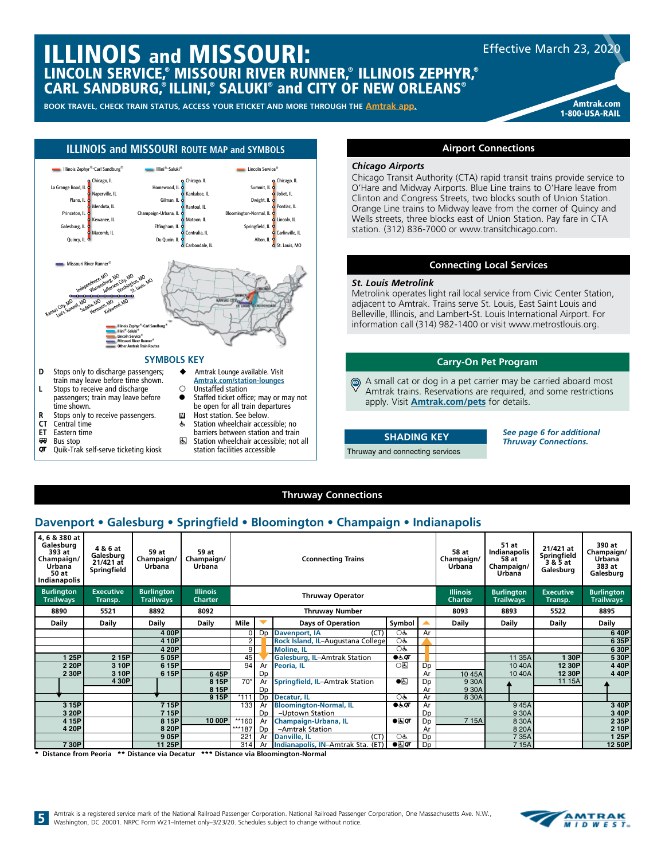

- **CT** Central time
- **ET** Eastern time
- $\overline{or}$  Bus stop Quik-Trak self-serve ticketing kiosk
- m Host station. See below.<br>
Station wheelchair acces Station wheelchair accessible; no
- barriers between station and train **图 Station wheelchair accessible; not all** 
	- station facilities accessible

#### **Thruway Connections**

**SHADING KEY** Thruway and connecting services

### **Davenport • Galesburg • Springfield • Bloomington • Champaign • Indianapolis**

| 4, 6 & 380 at<br>Galesburg<br>393 at<br>Champaign/<br>Urbana<br>50 at<br>Indianapolis | 4 & 6 at<br>Galesburg<br>$21/421$ at<br>Springfield | 59 at<br>Champaign/<br>Urbana         | 59 at<br>Champaign/<br>Urbana     |                                            |                                                                      | <b>Cconnecting Trains</b>           |                                                                | 58 at<br>Champaign/<br>Urbana | 51 at<br>Indianapolis<br>58 at<br>Champaign/<br>Urbana | 21/421 at<br>Springfield<br>3& 5 at<br>Galesburg | 390 at<br>Champaign/<br>Urbana<br>383 at<br>Galesburg |                                       |
|---------------------------------------------------------------------------------------|-----------------------------------------------------|---------------------------------------|-----------------------------------|--------------------------------------------|----------------------------------------------------------------------|-------------------------------------|----------------------------------------------------------------|-------------------------------|--------------------------------------------------------|--------------------------------------------------|-------------------------------------------------------|---------------------------------------|
| <b>Burlington</b><br><b>Trailways</b>                                                 | <b>Executive</b><br>Transp.                         | <b>Burlington</b><br><b>Trailways</b> | <b>Illinois</b><br><b>Charter</b> |                                            |                                                                      | <b>Thruway Operator</b>             |                                                                |                               | <b>Illinois</b><br><b>Charter</b>                      | <b>Burlington</b><br><b>Trailways</b>            | <b>Executive</b><br>Transp.                           | <b>Burlington</b><br><b>Trailways</b> |
| 8890                                                                                  | 5521                                                | 8892                                  | 8092                              |                                            |                                                                      | <b>Thruway Number</b>               |                                                                |                               | 8093                                                   | 8893                                             | 5522                                                  | 8895                                  |
| <b>Daily</b>                                                                          | <b>Daily</b>                                        | Daily                                 | Daily                             | Mile<br><b>Days of Operation</b><br>Symbol |                                                                      |                                     | <b>Daily</b>                                                   | Daily                         | <b>Daily</b>                                           | <b>Daily</b>                                     |                                                       |                                       |
|                                                                                       |                                                     | 4 00P                                 |                                   | οI                                         | Dp                                                                   | (CT)<br>Davenport, IA               | OĠ                                                             | Ar                            |                                                        |                                                  |                                                       | 640P                                  |
|                                                                                       |                                                     | 4 10P                                 |                                   | $\overline{2}$                             |                                                                      | Rock Island, IL-Augustana College   | OĠ                                                             |                               |                                                        |                                                  |                                                       | 6 35P                                 |
|                                                                                       |                                                     | 4 20P                                 |                                   | 9 <sub>l</sub>                             |                                                                      | <b>Moline, IL</b>                   | Oth                                                            |                               |                                                        |                                                  |                                                       | 6 30P                                 |
| 1 25P                                                                                 | 2 15P                                               | 505P                                  |                                   | 45                                         |                                                                      | <b>Galesburg, IL-Amtrak Station</b> | $\bullet$ க்ர                                                  |                               |                                                        | 11 35A                                           | 1 30P                                                 | 5 30P                                 |
| 2 20P                                                                                 | 3 10P                                               | 615P                                  |                                   | 94                                         | Ar                                                                   | Peoria, IL                          | ाड                                                             | Dp                            |                                                        | 10 40A                                           | 12 30P                                                | 4 40P                                 |
| 2 30P                                                                                 | 310P                                                | 615P                                  | 645P                              |                                            | Dp                                                                   |                                     |                                                                | Ar                            | 10 45A                                                 | 10 40A                                           | 12 30P                                                | 4 40P                                 |
|                                                                                       | 4 30P                                               |                                       | 8 15P                             | $\overline{70^*}$                          | Ar                                                                   | Springfield, IL-Amtrak Station      | $\overline{\bullet}$                                           | Dp                            | 9 30A                                                  |                                                  | 11 15A                                                |                                       |
|                                                                                       |                                                     |                                       | 8 15P                             |                                            | Dp                                                                   |                                     |                                                                | Ar                            | 9 30A                                                  |                                                  |                                                       |                                       |
|                                                                                       |                                                     |                                       | 915P                              | $*111$                                     | D <sub>p</sub>                                                       | Decatur, IL                         | $O_{\mathbf{G}}$                                               | Ar                            | 8 30A                                                  |                                                  |                                                       |                                       |
| 3 15P                                                                                 |                                                     | 715P                                  |                                   | 133                                        | A                                                                    | <b>Bloomington-Normal, IL</b>       | $\bullet$ க்ர                                                  | Ar                            |                                                        | 945A                                             |                                                       | 3 40P                                 |
| 3 20P                                                                                 |                                                     | 715P                                  |                                   |                                            | Dp                                                                   | -Uptown Station                     |                                                                | Dp                            |                                                        | 9 30A                                            |                                                       | 3 40P                                 |
| 4 15P                                                                                 |                                                     | 8 15P                                 | 10 00P                            | $**160$                                    | Ar                                                                   | Champaign-Urbana, IL                | $\overline{\bullet}$ $\overline{\bullet}$ $\overline{\bullet}$ | Dp                            | 7 15A                                                  | 8 30A                                            |                                                       | 2 35P                                 |
| 4 20P                                                                                 |                                                     | 8 20P                                 |                                   | ***187                                     | D <sub>p</sub>                                                       | -Amtrak Station                     |                                                                | Ar                            |                                                        | 8 20A                                            |                                                       | 2 10P                                 |
|                                                                                       |                                                     | 905P                                  |                                   | 221                                        | Ar                                                                   | (CT)<br>Danville, IL                | $O_{\mathbf{G}}$                                               | Dp                            |                                                        | 7 35A                                            |                                                       | 1 25P                                 |
| 730P                                                                                  |                                                     | 11 25P                                |                                   |                                            | $\bullet$<br>Indianapolis, IN-Amtrak Sta.<br>314<br>(ET)<br>Dp<br>Ar |                                     |                                                                |                               |                                                        | 7 15A                                            |                                                       | 12 50P                                |

**\* Distance from Peoria \*\* Distance via Decatur \*\*\* Distance via Bloomington-Normal**



*See page 6 for additional Thruway Connections.*